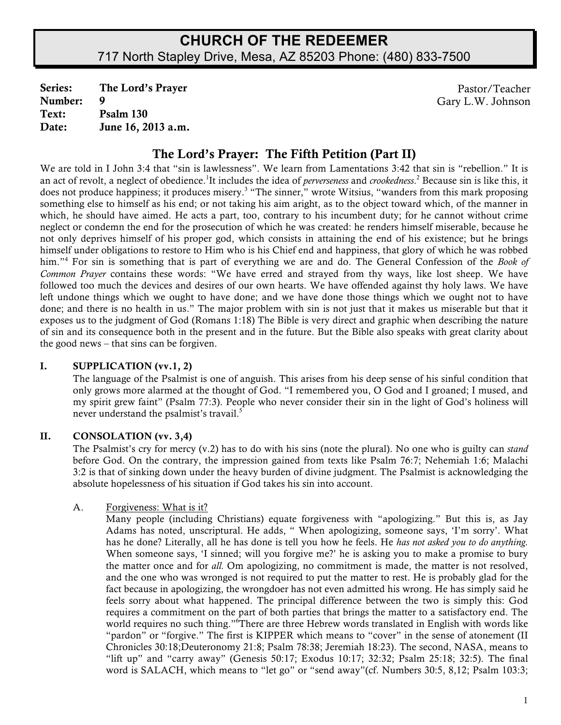# **CHURCH OF THE REDEEMER** 717 North Stapley Drive, Mesa, AZ 85203 Phone: (480) 833-7500

Series: The Lord's Prayer Pastor/Teacher<br>
Number: 9 Gary L W Johnson **9** Gary L.W. Johnson Text: Psalm 130 Date: June 16, 2013 a.m.

## The Lord's Prayer: The Fifth Petition (Part II)

We are told in I John 3:4 that "sin is lawlessness". We learn from Lamentations 3:42 that sin is "rebellion." It is an act of revolt, a neglect of obedience.<sup>1</sup>It includes the idea of *perverseness* and *crookedness*.<sup>2</sup> Because sin is like this, it does not produce happiness; it produces misery.<sup>3</sup> "The sinner," wrote Witsius, "wanders from this mark proposing something else to himself as his end; or not taking his aim aright, as to the object toward which, of the manner in which, he should have aimed. He acts a part, too, contrary to his incumbent duty; for he cannot without crime neglect or condemn the end for the prosecution of which he was created: he renders himself miserable, because he not only deprives himself of his proper god, which consists in attaining the end of his existence; but he brings himself under obligations to restore to Him who is his Chief end and happiness, that glory of which he was robbed him."<sup>4</sup> For sin is something that is part of everything we are and do. The General Confession of the *Book of Common Prayer* contains these words: "We have erred and strayed from thy ways, like lost sheep. We have followed too much the devices and desires of our own hearts. We have offended against thy holy laws. We have left undone things which we ought to have done; and we have done those things which we ought not to have done; and there is no health in us." The major problem with sin is not just that it makes us miserable but that it exposes us to the judgment of God (Romans 1:18) The Bible is very direct and graphic when describing the nature of sin and its consequence both in the present and in the future. But the Bible also speaks with great clarity about the good news – that sins can be forgiven.

#### I. SUPPLICATION (vv.1, 2)

The language of the Psalmist is one of anguish. This arises from his deep sense of his sinful condition that only grows more alarmed at the thought of God. "I remembered you, O God and I groaned; I mused, and my spirit grew faint" (Psalm 77:3). People who never consider their sin in the light of God's holiness will never understand the psalmist's travail.<sup>5</sup>

### II. CONSOLATION (vv. 3,4)

The Psalmist's cry for mercy (v.2) has to do with his sins (note the plural). No one who is guilty can *stand* before God. On the contrary, the impression gained from texts like Psalm 76:7; Nehemiah 1:6; Malachi 3:2 is that of sinking down under the heavy burden of divine judgment. The Psalmist is acknowledging the absolute hopelessness of his situation if God takes his sin into account.

#### A. Forgiveness: What is it?

Many people (including Christians) equate forgiveness with "apologizing." But this is, as Jay Adams has noted, unscriptural. He adds, " When apologizing, someone says, 'I'm sorry'. What has he done? Literally, all he has done is tell you how he feels. He *has not asked you to do anything.* When someone says, 'I sinned; will you forgive me?' he is asking you to make a promise to bury the matter once and for *all.* Om apologizing, no commitment is made, the matter is not resolved, and the one who was wronged is not required to put the matter to rest. He is probably glad for the fact because in apologizing, the wrongdoer has not even admitted his wrong. He has simply said he feels sorry about what happened. The principal difference between the two is simply this: God requires a commitment on the part of both parties that brings the matter to a satisfactory end. The world requires no such thing." There are three Hebrew words translated in English with words like "pardon" or "forgive." The first is KIPPER which means to "cover" in the sense of atonement (II Chronicles 30:18;Deuteronomy 21:8; Psalm 78:38; Jeremiah 18:23). The second, NASA, means to "lift up" and "carry away" (Genesis 50:17; Exodus 10:17; 32:32; Psalm 25:18; 32:5). The final word is SALACH, which means to "let go" or "send away"(cf. Numbers 30:5, 8,12; Psalm 103:3;